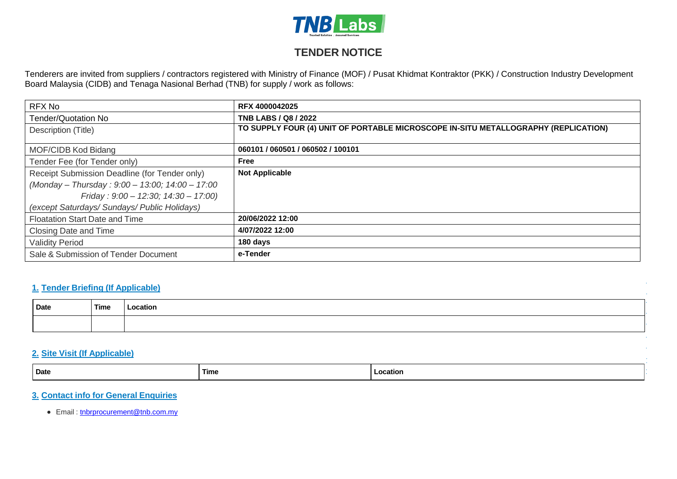

# **TENDER NOTICE**

Tenderers are invited from suppliers / contractors registered with Ministry of Finance (MOF) / Pusat Khidmat Kontraktor (PKK) / Construction Industry Development Board Malaysia (CIDB) and Tenaga Nasional Berhad (TNB) for supply / work as follows:

| RFX No                                          | <b>RFX 4000042025</b>                                                              |
|-------------------------------------------------|------------------------------------------------------------------------------------|
| <b>Tender/Quotation No</b>                      | <b>TNB LABS / Q8 / 2022</b>                                                        |
| Description (Title)                             | TO SUPPLY FOUR (4) UNIT OF PORTABLE MICROSCOPE IN-SITU METALLOGRAPHY (REPLICATION) |
| MOF/CIDB Kod Bidang                             | 060101 / 060501 / 060502 / 100101                                                  |
| Tender Fee (for Tender only)                    | <b>Free</b>                                                                        |
| Receipt Submission Deadline (for Tender only)   | <b>Not Applicable</b>                                                              |
| (Monday - Thursday: 9:00 - 13:00; 14:00 - 17:00 |                                                                                    |
| Friday: $9:00 - 12:30$ ; $14:30 - 17:00$ )      |                                                                                    |
| (except Saturdays/ Sundays/ Public Holidays)    |                                                                                    |
| <b>Floatation Start Date and Time</b>           | 20/06/2022 12:00                                                                   |
| Closing Date and Time                           | 4/07/2022 12:00                                                                    |
| <b>Validity Period</b>                          | 180 days                                                                           |
| Sale & Submission of Tender Document            | e-Tender                                                                           |

## **1. Tender Briefing (If Applicable)**

| Date | <b>Time</b> | Location |
|------|-------------|----------|
|      |             |          |

## **2. Site Visit (If Applicable)**

| <b>Date</b><br>Time<br>.cation |  |
|--------------------------------|--|
|--------------------------------|--|

## **3. Contact info for General Enquiries**

• Email : [tnbrprocurement@tnb.com.my](mailto:tnbrprocurement@tnb.com.my)